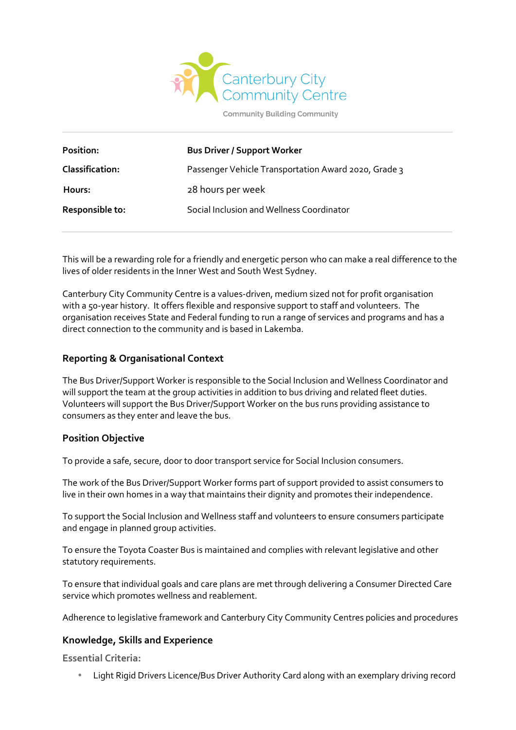

**Community Building Community** 

| <b>Bus Driver / Support Worker</b>                   |
|------------------------------------------------------|
| Passenger Vehicle Transportation Award 2020, Grade 3 |
| 28 hours per week                                    |
| Social Inclusion and Wellness Coordinator            |
|                                                      |

This will be a rewarding role for a friendly and energetic person who can make a real difference to the lives of older residents in the Inner West and South West Sydney.

Canterbury City Community Centre is a values-driven, medium sized not for profit organisation with a 50-year history. It offers flexible and responsive support to staff and volunteers. The organisation receives State and Federal funding to run a range of services and programs and has a direct connection to the community and is based in Lakemba.

# **Reporting & Organisational Context**

The Bus Driver/Support Worker is responsible to the Social Inclusion and Wellness Coordinator and will support the team at the group activities in addition to bus driving and related fleet duties. Volunteers will support the Bus Driver/Support Worker on the bus runs providing assistance to consumers as they enter and leave the bus.

## **Position Objective**

To provide a safe, secure, door to door transport service for Social Inclusion consumers.

The work of the Bus Driver/Support Worker forms part of support provided to assist consumers to live in their own homes in a way that maintains their dignity and promotes their independence.

To support the Social Inclusion and Wellness staff and volunteers to ensure consumers participate and engage in planned group activities.

To ensure the Toyota Coaster Bus is maintained and complies with relevant legislative and other statutory requirements.

To ensure that individual goals and care plans are met through delivering a Consumer Directed Care service which promotes wellness and reablement.

Adherence to legislative framework and Canterbury City Community Centres policies and procedures

## **Knowledge, Skills and Experience**

**Essential Criteria:**

Light Rigid Drivers Licence/Bus Driver Authority Card along with an exemplary driving record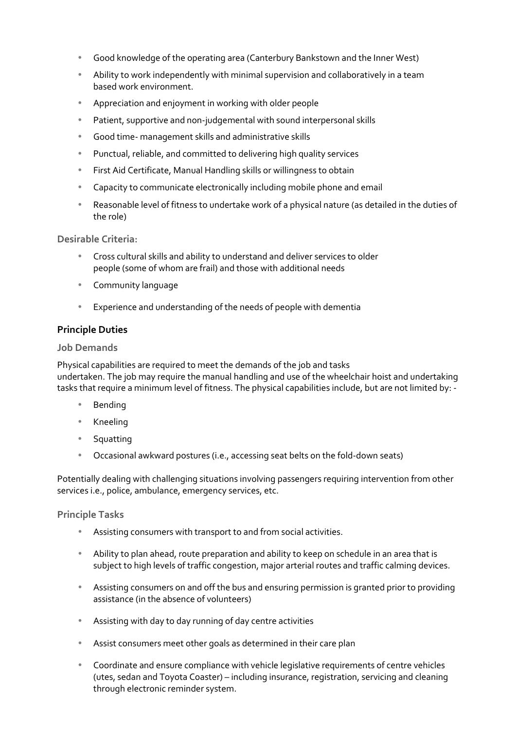- Good knowledge of the operating area (Canterbury Bankstown and the Inner West)
- Ability to work independently with minimal supervision and collaboratively in a team based work environment.
- Appreciation and enjoyment in working with older people
- Patient, supportive and non-judgemental with sound interpersonal skills
- Good time- management skills and administrative skills
- Punctual, reliable, and committed to delivering high quality services
- First Aid Certificate, Manual Handling skills or willingness to obtain
- Capacity to communicate electronically including mobile phone and email
- Reasonable level of fitness to undertake work of a physical nature (as detailed in the duties of the role)

**Desirable Criteria:**

- Cross cultural skills and ability to understand and deliver services to older people (some of whom are frail) and those with additional needs
- Community language
- Experience and understanding of the needs of people with dementia

# **Principle Duties**

## **Job Demands**

Physical capabilities are required to meet the demands of the job and tasks undertaken. The job may require the manual handling and use of the wheelchair hoist and undertaking tasks that require a minimum level of fitness. The physical capabilities include, but are not limited by: -

- Bending
- Kneeling
- Squatting
- Occasional awkward postures (i.e., accessing seat belts on the fold-down seats)

Potentially dealing with challenging situations involving passengers requiring intervention from other services i.e., police, ambulance, emergency services, etc.

**Principle Tasks**

- Assisting consumers with transport to and from social activities.
- Ability to plan ahead, route preparation and ability to keep on schedule in an area that is subject to high levels of traffic congestion, major arterial routes and traffic calming devices.
- Assisting consumers on and off the bus and ensuring permission is granted prior to providing assistance (in the absence of volunteers)
- Assisting with day to day running of day centre activities
- Assist consumers meet other goals as determined in their care plan
- Coordinate and ensure compliance with vehicle legislative requirements of centre vehicles (utes, sedan and Toyota Coaster) – including insurance, registration, servicing and cleaning through electronic reminder system.